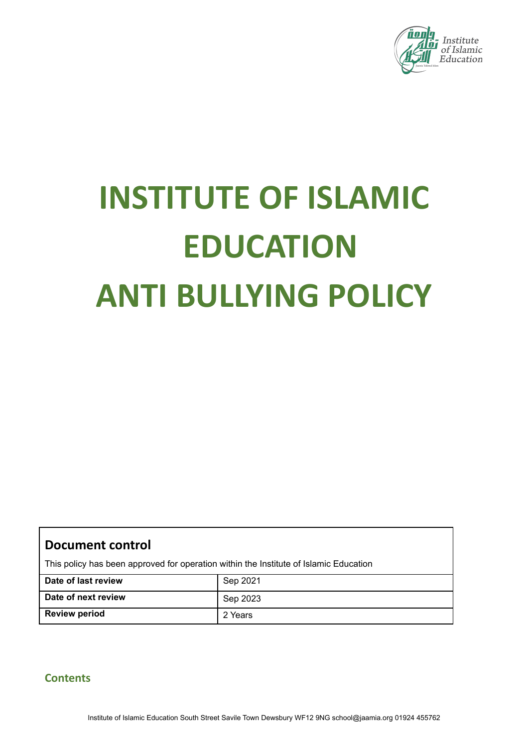

# **INSTITUTE OF ISLAMIC EDUCATION ANTI BULLYING POLICY**

| <b>Document control</b> |  |
|-------------------------|--|
|-------------------------|--|

This policy has been approved for operation within the Institute of Islamic Education

| Date of last review  | Sep 2021 |
|----------------------|----------|
| Date of next review  | Sep 2023 |
| <b>Review period</b> | 2 Years  |

# **Contents**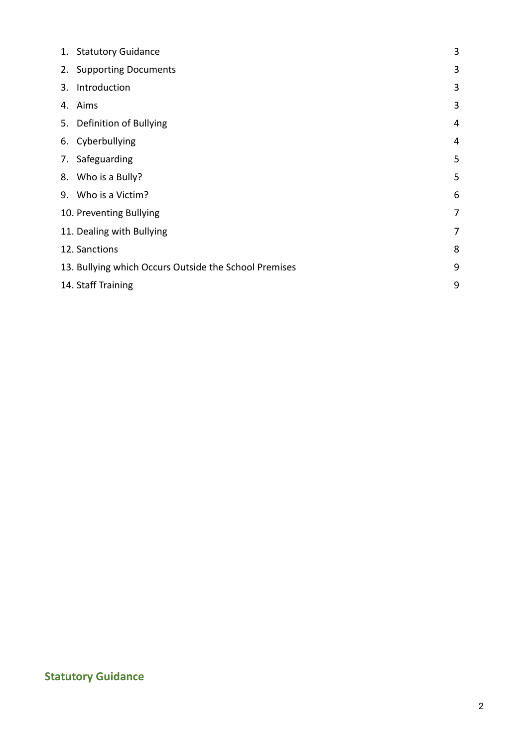|    | 1. Statutory Guidance                                 | 3              |
|----|-------------------------------------------------------|----------------|
|    | 2. Supporting Documents                               | 3              |
| 3. | Introduction                                          | 3              |
| 4. | Aims                                                  | 3              |
|    | 5. Definition of Bullying                             | 4              |
|    | 6. Cyberbullying                                      | 4              |
|    | 7. Safeguarding                                       | 5              |
|    | 8. Who is a Bully?                                    | 5              |
|    | 9. Who is a Victim?                                   | 6              |
|    | 10. Preventing Bullying                               | $\overline{7}$ |
|    | 11. Dealing with Bullying                             | 7              |
|    | 12. Sanctions                                         | 8              |
|    | 13. Bullying which Occurs Outside the School Premises | 9              |
|    | 14. Staff Training                                    | 9              |

# **Statutory Guidance**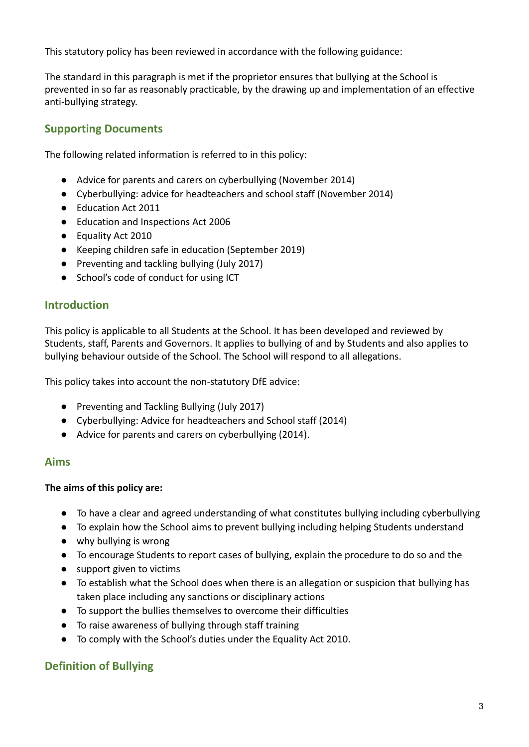This statutory policy has been reviewed in accordance with the following guidance:

The standard in this paragraph is met if the proprietor ensures that bullying at the School is prevented in so far as reasonably practicable, by the drawing up and implementation of an effective anti-bullying strategy.

#### **Supporting Documents**

The following related information is referred to in this policy:

- Advice for parents and carers on cyberbullying (November 2014)
- Cyberbullying: advice for headteachers and school staff (November 2014)
- Education Act 2011
- Education and Inspections Act 2006
- Equality Act 2010
- Keeping children safe in education (September 2019)
- Preventing and tackling bullying (July 2017)
- School's code of conduct for using ICT

#### **Introduction**

This policy is applicable to all Students at the School. It has been developed and reviewed by Students, staff, Parents and Governors. It applies to bullying of and by Students and also applies to bullying behaviour outside of the School. The School will respond to all allegations.

This policy takes into account the non-statutory DfE advice:

- Preventing and Tackling Bullying (July 2017)
- Cyberbullying: Advice for headteachers and School staff (2014)
- Advice for parents and carers on cyberbullying (2014).

#### **Aims**

#### **The aims of this policy are:**

- To have a clear and agreed understanding of what constitutes bullying including cyberbullying
- To explain how the School aims to prevent bullying including helping Students understand
- why bullying is wrong
- To encourage Students to report cases of bullying, explain the procedure to do so and the
- support given to victims
- To establish what the School does when there is an allegation or suspicion that bullying has taken place including any sanctions or disciplinary actions
- To support the bullies themselves to overcome their difficulties
- To raise awareness of bullying through staff training
- To comply with the School's duties under the Equality Act 2010.

#### **Definition of Bullying**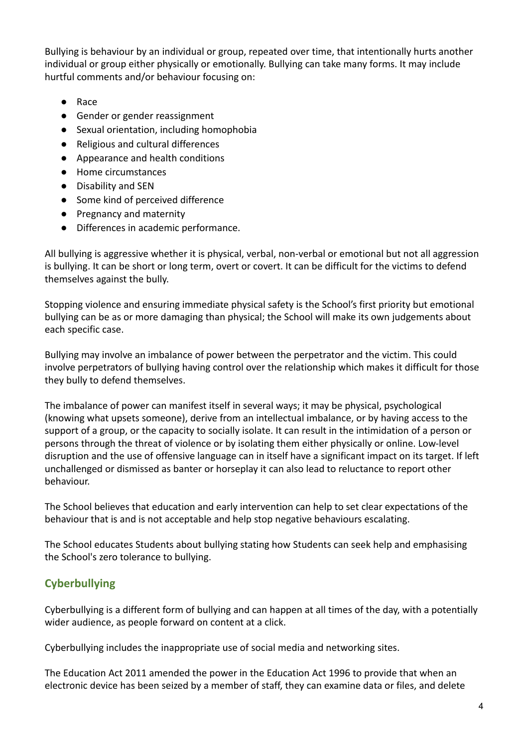Bullying is behaviour by an individual or group, repeated over time, that intentionally hurts another individual or group either physically or emotionally. Bullying can take many forms. It may include hurtful comments and/or behaviour focusing on:

- Race
- Gender or gender reassignment
- Sexual orientation, including homophobia
- Religious and cultural differences
- Appearance and health conditions
- Home circumstances
- Disability and SEN
- Some kind of perceived difference
- Pregnancy and maternity
- Differences in academic performance.

All bullying is aggressive whether it is physical, verbal, non-verbal or emotional but not all aggression is bullying. It can be short or long term, overt or covert. It can be difficult for the victims to defend themselves against the bully.

Stopping violence and ensuring immediate physical safety is the School's first priority but emotional bullying can be as or more damaging than physical; the School will make its own judgements about each specific case.

Bullying may involve an imbalance of power between the perpetrator and the victim. This could involve perpetrators of bullying having control over the relationship which makes it difficult for those they bully to defend themselves.

The imbalance of power can manifest itself in several ways; it may be physical, psychological (knowing what upsets someone), derive from an intellectual imbalance, or by having access to the support of a group, or the capacity to socially isolate. It can result in the intimidation of a person or persons through the threat of violence or by isolating them either physically or online. Low-level disruption and the use of offensive language can in itself have a significant impact on its target. If left unchallenged or dismissed as banter or horseplay it can also lead to reluctance to report other behaviour.

The School believes that education and early intervention can help to set clear expectations of the behaviour that is and is not acceptable and help stop negative behaviours escalating.

The School educates Students about bullying stating how Students can seek help and emphasising the School's zero tolerance to bullying.

# **Cyberbullying**

Cyberbullying is a different form of bullying and can happen at all times of the day, with a potentially wider audience, as people forward on content at a click.

Cyberbullying includes the inappropriate use of social media and networking sites.

The Education Act 2011 amended the power in the Education Act 1996 to provide that when an electronic device has been seized by a member of staff, they can examine data or files, and delete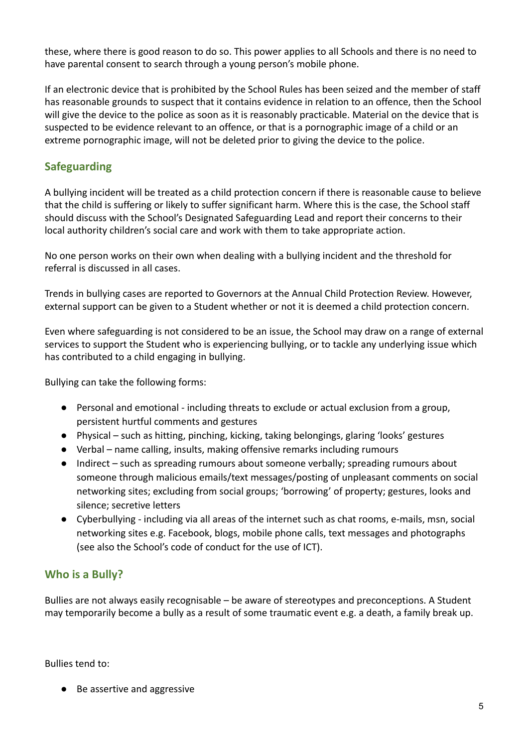these, where there is good reason to do so. This power applies to all Schools and there is no need to have parental consent to search through a young person's mobile phone.

If an electronic device that is prohibited by the School Rules has been seized and the member of staff has reasonable grounds to suspect that it contains evidence in relation to an offence, then the School will give the device to the police as soon as it is reasonably practicable. Material on the device that is suspected to be evidence relevant to an offence, or that is a pornographic image of a child or an extreme pornographic image, will not be deleted prior to giving the device to the police.

# **Safeguarding**

A bullying incident will be treated as a child protection concern if there is reasonable cause to believe that the child is suffering or likely to suffer significant harm. Where this is the case, the School staff should discuss with the School's Designated Safeguarding Lead and report their concerns to their local authority children's social care and work with them to take appropriate action.

No one person works on their own when dealing with a bullying incident and the threshold for referral is discussed in all cases.

Trends in bullying cases are reported to Governors at the Annual Child Protection Review. However, external support can be given to a Student whether or not it is deemed a child protection concern.

Even where safeguarding is not considered to be an issue, the School may draw on a range of external services to support the Student who is experiencing bullying, or to tackle any underlying issue which has contributed to a child engaging in bullying.

Bullying can take the following forms:

- Personal and emotional including threats to exclude or actual exclusion from a group, persistent hurtful comments and gestures
- Physical such as hitting, pinching, kicking, taking belongings, glaring 'looks' gestures
- Verbal name calling, insults, making offensive remarks including rumours
- Indirect such as spreading rumours about someone verbally; spreading rumours about someone through malicious emails/text messages/posting of unpleasant comments on social networking sites; excluding from social groups; 'borrowing' of property; gestures, looks and silence; secretive letters
- Cyberbullying including via all areas of the internet such as chat rooms, e-mails, msn, social networking sites e.g. Facebook, blogs, mobile phone calls, text messages and photographs (see also the School's code of conduct for the use of ICT).

# **Who is a Bully?**

Bullies are not always easily recognisable – be aware of stereotypes and preconceptions. A Student may temporarily become a bully as a result of some traumatic event e.g. a death, a family break up.

Bullies tend to:

● Be assertive and aggressive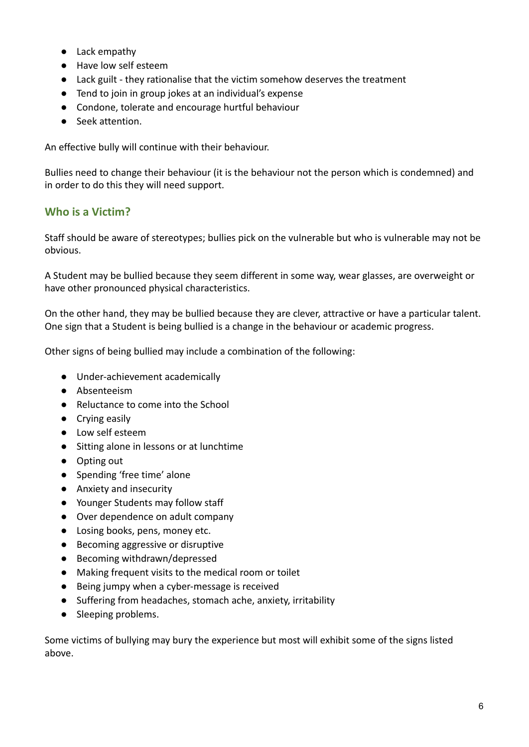- Lack empathy
- Have low self esteem
- Lack guilt they rationalise that the victim somehow deserves the treatment
- Tend to join in group jokes at an individual's expense
- Condone, tolerate and encourage hurtful behaviour
- Seek attention.

An effective bully will continue with their behaviour.

Bullies need to change their behaviour (it is the behaviour not the person which is condemned) and in order to do this they will need support.

#### **Who is a Victim?**

Staff should be aware of stereotypes; bullies pick on the vulnerable but who is vulnerable may not be obvious.

A Student may be bullied because they seem different in some way, wear glasses, are overweight or have other pronounced physical characteristics.

On the other hand, they may be bullied because they are clever, attractive or have a particular talent. One sign that a Student is being bullied is a change in the behaviour or academic progress.

Other signs of being bullied may include a combination of the following:

- Under-achievement academically
- Absenteeism
- Reluctance to come into the School
- Crying easily
- Low self esteem
- Sitting alone in lessons or at lunchtime
- Opting out
- Spending 'free time' alone
- Anxiety and insecurity
- Younger Students may follow staff
- Over dependence on adult company
- Losing books, pens, money etc.
- Becoming aggressive or disruptive
- Becoming withdrawn/depressed
- Making frequent visits to the medical room or toilet
- Being jumpy when a cyber-message is received
- Suffering from headaches, stomach ache, anxiety, irritability
- Sleeping problems.

Some victims of bullying may bury the experience but most will exhibit some of the signs listed above.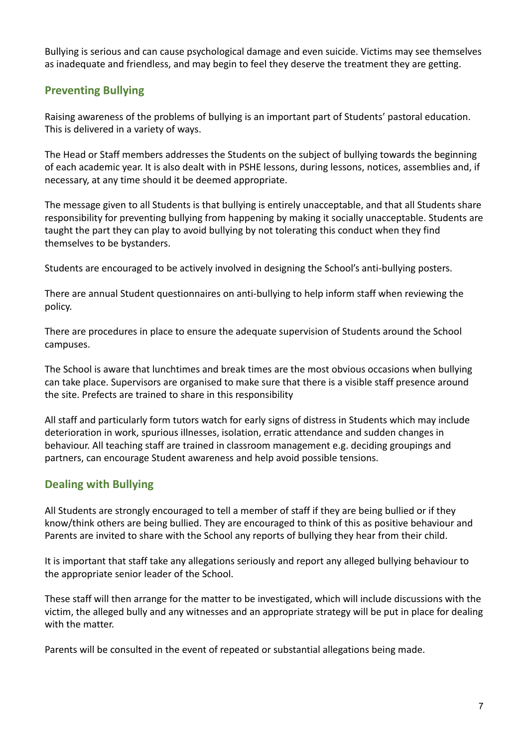Bullying is serious and can cause psychological damage and even suicide. Victims may see themselves as inadequate and friendless, and may begin to feel they deserve the treatment they are getting.

# **Preventing Bullying**

Raising awareness of the problems of bullying is an important part of Students' pastoral education. This is delivered in a variety of ways.

The Head or Staff members addresses the Students on the subject of bullying towards the beginning of each academic year. It is also dealt with in PSHE lessons, during lessons, notices, assemblies and, if necessary, at any time should it be deemed appropriate.

The message given to all Students is that bullying is entirely unacceptable, and that all Students share responsibility for preventing bullying from happening by making it socially unacceptable. Students are taught the part they can play to avoid bullying by not tolerating this conduct when they find themselves to be bystanders.

Students are encouraged to be actively involved in designing the School's anti-bullying posters.

There are annual Student questionnaires on anti-bullying to help inform staff when reviewing the policy.

There are procedures in place to ensure the adequate supervision of Students around the School campuses.

The School is aware that lunchtimes and break times are the most obvious occasions when bullying can take place. Supervisors are organised to make sure that there is a visible staff presence around the site. Prefects are trained to share in this responsibility

All staff and particularly form tutors watch for early signs of distress in Students which may include deterioration in work, spurious illnesses, isolation, erratic attendance and sudden changes in behaviour. All teaching staff are trained in classroom management e.g. deciding groupings and partners, can encourage Student awareness and help avoid possible tensions.

# **Dealing with Bullying**

All Students are strongly encouraged to tell a member of staff if they are being bullied or if they know/think others are being bullied. They are encouraged to think of this as positive behaviour and Parents are invited to share with the School any reports of bullying they hear from their child.

It is important that staff take any allegations seriously and report any alleged bullying behaviour to the appropriate senior leader of the School.

These staff will then arrange for the matter to be investigated, which will include discussions with the victim, the alleged bully and any witnesses and an appropriate strategy will be put in place for dealing with the matter.

Parents will be consulted in the event of repeated or substantial allegations being made.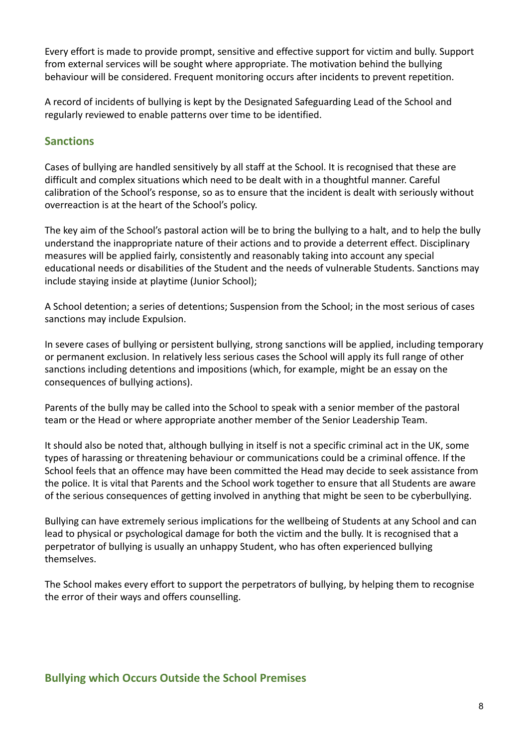Every effort is made to provide prompt, sensitive and effective support for victim and bully. Support from external services will be sought where appropriate. The motivation behind the bullying behaviour will be considered. Frequent monitoring occurs after incidents to prevent repetition.

A record of incidents of bullying is kept by the Designated Safeguarding Lead of the School and regularly reviewed to enable patterns over time to be identified.

#### **Sanctions**

Cases of bullying are handled sensitively by all staff at the School. It is recognised that these are difficult and complex situations which need to be dealt with in a thoughtful manner. Careful calibration of the School's response, so as to ensure that the incident is dealt with seriously without overreaction is at the heart of the School's policy.

The key aim of the School's pastoral action will be to bring the bullying to a halt, and to help the bully understand the inappropriate nature of their actions and to provide a deterrent effect. Disciplinary measures will be applied fairly, consistently and reasonably taking into account any special educational needs or disabilities of the Student and the needs of vulnerable Students. Sanctions may include staying inside at playtime (Junior School);

A School detention; a series of detentions; Suspension from the School; in the most serious of cases sanctions may include Expulsion.

In severe cases of bullying or persistent bullying, strong sanctions will be applied, including temporary or permanent exclusion. In relatively less serious cases the School will apply its full range of other sanctions including detentions and impositions (which, for example, might be an essay on the consequences of bullying actions).

Parents of the bully may be called into the School to speak with a senior member of the pastoral team or the Head or where appropriate another member of the Senior Leadership Team.

It should also be noted that, although bullying in itself is not a specific criminal act in the UK, some types of harassing or threatening behaviour or communications could be a criminal offence. If the School feels that an offence may have been committed the Head may decide to seek assistance from the police. It is vital that Parents and the School work together to ensure that all Students are aware of the serious consequences of getting involved in anything that might be seen to be cyberbullying.

Bullying can have extremely serious implications for the wellbeing of Students at any School and can lead to physical or psychological damage for both the victim and the bully. It is recognised that a perpetrator of bullying is usually an unhappy Student, who has often experienced bullying themselves.

The School makes every effort to support the perpetrators of bullying, by helping them to recognise the error of their ways and offers counselling.

#### **Bullying which Occurs Outside the School Premises**